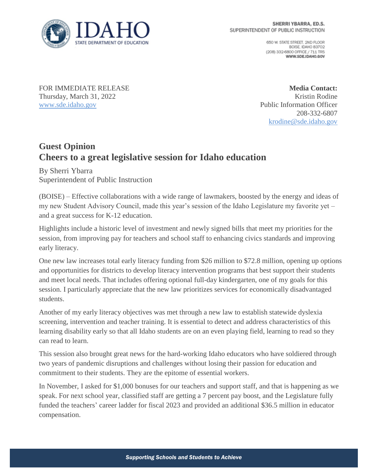

650 W. STATE STREET, 2ND FLOOR BOISE IDAHO 83702 (208) 332-6800 OFFICE / 711 TRS WWW.SDE.IDAHO.GOV

FOR IMMEDIATE RELEASE Thursday, March 31, 2022 [www.sde.idaho.gov](http://www.sde.idaho.gov/)

**Media Contact:** Kristin Rodine Public Information Officer 208-332-6807 [krodine@sde.idaho.gov](mailto:krodine@sde.idaho.gov)

## **Guest Opinion Cheers to a great legislative session for Idaho education**

By Sherri Ybarra Superintendent of Public Instruction

(BOISE) – Effective collaborations with a wide range of lawmakers, boosted by the energy and ideas of my new Student Advisory Council, made this year's session of the Idaho Legislature my favorite yet – and a great success for K-12 education.

Highlights include a historic level of investment and newly signed bills that meet my priorities for the session, from improving pay for teachers and school staff to enhancing civics standards and improving early literacy.

One new law increases total early literacy funding from \$26 million to \$72.8 million, opening up options and opportunities for districts to develop literacy intervention programs that best support their students and meet local needs. That includes offering optional full-day kindergarten, one of my goals for this session. I particularly appreciate that the new law prioritizes services for economically disadvantaged students.

Another of my early literacy objectives was met through a new law to establish statewide dyslexia screening, intervention and teacher training. It is essential to detect and address characteristics of this learning disability early so that all Idaho students are on an even playing field, learning to read so they can read to learn.

This session also brought great news for the hard-working Idaho educators who have soldiered through two years of pandemic disruptions and challenges without losing their passion for education and commitment to their students. They are the epitome of essential workers.

In November, I asked for \$1,000 bonuses for our teachers and support staff, and that is happening as we speak. For next school year, classified staff are getting a 7 percent pay boost, and the Legislature fully funded the teachers' career ladder for fiscal 2023 and provided an additional \$36.5 million in educator compensation.